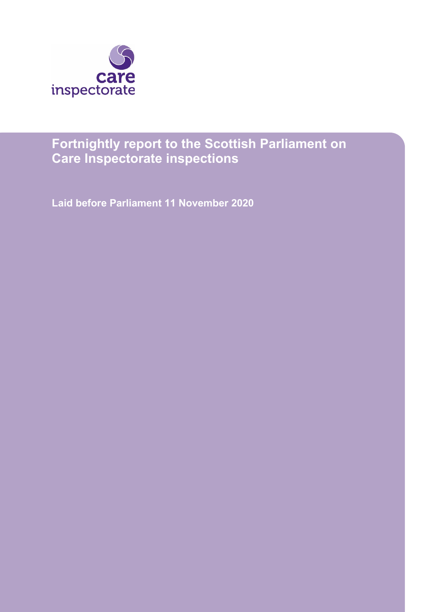

# **Fortnightly report to the Scottish Parliament on Care Inspectorate inspections**

**Laid before Parliament 11 November 2020**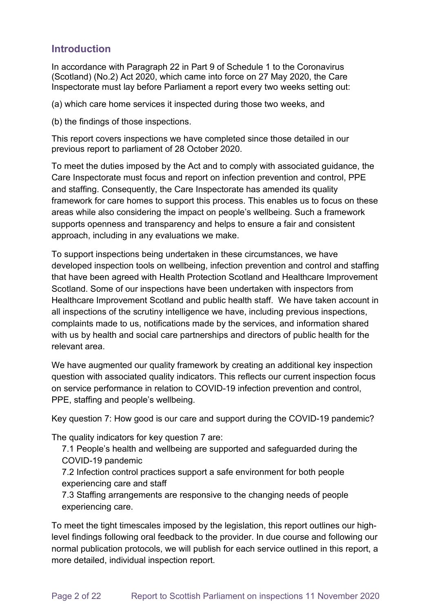# **Introduction**

In accordance with Paragraph 22 in Part 9 of Schedule 1 to the Coronavirus (Scotland) (No.2) Act 2020, which came into force on 27 May 2020, the Care Inspectorate must lay before Parliament a report every two weeks setting out:

(a) which care home services it inspected during those two weeks, and

(b) the findings of those inspections.

This report covers inspections we have completed since those detailed in our previous report to parliament of 28 October 2020.

To meet the duties imposed by the Act and to comply with associated guidance, the Care Inspectorate must focus and report on infection prevention and control, PPE and staffing. Consequently, the Care Inspectorate has amended its quality framework for care homes to support this process. This enables us to focus on these areas while also considering the impact on people's wellbeing. Such a framework supports openness and transparency and helps to ensure a fair and consistent approach, including in any evaluations we make.

To support inspections being undertaken in these circumstances, we have developed inspection tools on wellbeing, infection prevention and control and staffing that have been agreed with Health Protection Scotland and Healthcare Improvement Scotland. Some of our inspections have been undertaken with inspectors from Healthcare Improvement Scotland and public health staff. We have taken account in all inspections of the scrutiny intelligence we have, including previous inspections, complaints made to us, notifications made by the services, and information shared with us by health and social care partnerships and directors of public health for the relevant area.

We have augmented our quality framework by creating an additional key inspection question with associated quality indicators. This reflects our current inspection focus on service performance in relation to COVID-19 infection prevention and control, PPE, staffing and people's wellbeing.

Key question 7: How good is our care and support during the COVID-19 pandemic?

The quality indicators for key question 7 are:

7.1 People's health and wellbeing are supported and safeguarded during the COVID-19 pandemic

7.2 Infection control practices support a safe environment for both people experiencing care and staff

7.3 Staffing arrangements are responsive to the changing needs of people experiencing care.

To meet the tight timescales imposed by the legislation, this report outlines our highlevel findings following oral feedback to the provider. In due course and following our normal publication protocols, we will publish for each service outlined in this report, a more detailed, individual inspection report.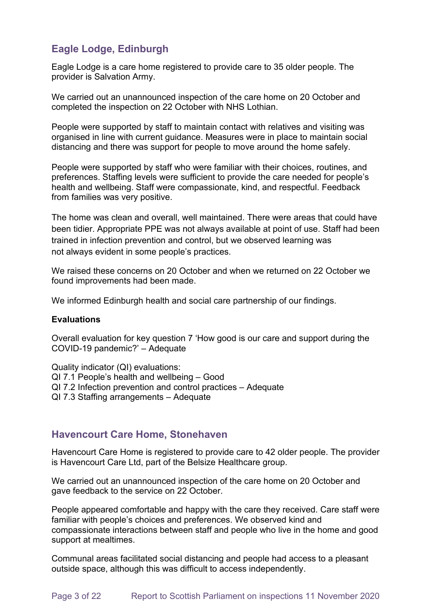# **Eagle Lodge, Edinburgh**

Eagle Lodge is a care home registered to provide care to 35 older people. The provider is Salvation Army.

We carried out an unannounced inspection of the care home on 20 October and completed the inspection on 22 October with NHS Lothian.

People were supported by staff to maintain contact with relatives and visiting was organised in line with current guidance. Measures were in place to maintain social distancing and there was support for people to move around the home safely.

People were supported by staff who were familiar with their choices, routines, and preferences. Staffing levels were sufficient to provide the care needed for people's health and wellbeing. Staff were compassionate, kind, and respectful. Feedback from families was very positive.

The home was clean and overall, well maintained. There were areas that could have been tidier. Appropriate PPE was not always available at point of use. Staff had been trained in infection prevention and control, but we observed learning was not always evident in some people's practices.

We raised these concerns on 20 October and when we returned on 22 October we found improvements had been made.

We informed Edinburgh health and social care partnership of our findings.

#### **Evaluations**

Overall evaluation for key question 7 'How good is our care and support during the COVID-19 pandemic?' – Adequate

Quality indicator (QI) evaluations:

- QI 7.1 People's health and wellbeing Good
- QI 7.2 Infection prevention and control practices Adequate
- QI 7.3 Staffing arrangements Adequate

### **Havencourt Care Home, Stonehaven**

Havencourt Care Home is registered to provide care to 42 older people. The provider is Havencourt Care Ltd, part of the Belsize Healthcare group.

We carried out an unannounced inspection of the care home on 20 October and gave feedback to the service on 22 October.

People appeared comfortable and happy with the care they received. Care staff were familiar with people's choices and preferences. We observed kind and compassionate interactions between staff and people who live in the home and good support at mealtimes.

Communal areas facilitated social distancing and people had access to a pleasant outside space, although this was difficult to access independently.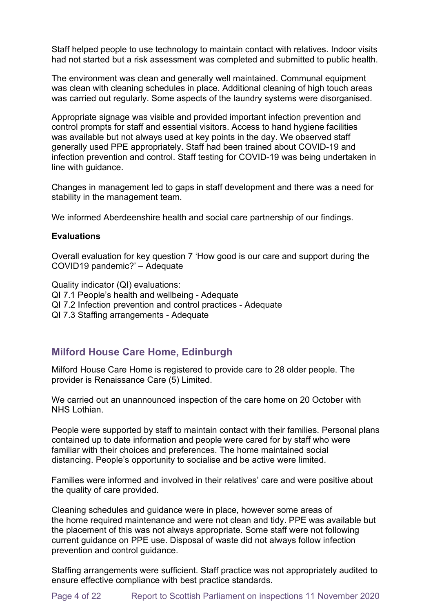Staff helped people to use technology to maintain contact with relatives. Indoor visits had not started but a risk assessment was completed and submitted to public health.

The environment was clean and generally well maintained. Communal equipment was clean with cleaning schedules in place. Additional cleaning of high touch areas was carried out regularly. Some aspects of the laundry systems were disorganised.

Appropriate signage was visible and provided important infection prevention and control prompts for staff and essential visitors. Access to hand hygiene facilities was available but not always used at key points in the day. We observed staff generally used PPE appropriately. Staff had been trained about COVID-19 and infection prevention and control. Staff testing for COVID-19 was being undertaken in line with guidance.

Changes in management led to gaps in staff development and there was a need for stability in the management team.

We informed Aberdeenshire health and social care partnership of our findings.

#### **Evaluations**

Overall evaluation for key question 7 'How good is our care and support during the COVID19 pandemic?' – Adequate

Quality indicator (QI) evaluations: QI 7.1 People's health and wellbeing - Adequate QI 7.2 Infection prevention and control practices - Adequate QI 7.3 Staffing arrangements - Adequate

## **Milford House Care Home, Edinburgh**

Milford House Care Home is registered to provide care to 28 older people. The provider is Renaissance Care (5) Limited.

We carried out an unannounced inspection of the care home on 20 October with NHS Lothian.

People were supported by staff to maintain contact with their families. Personal plans contained up to date information and people were cared for by staff who were familiar with their choices and preferences. The home maintained social distancing. People's opportunity to socialise and be active were limited.

Families were informed and involved in their relatives' care and were positive about the quality of care provided.

Cleaning schedules and guidance were in place, however some areas of the home required maintenance and were not clean and tidy. PPE was available but the placement of this was not always appropriate. Some staff were not following current guidance on PPE use. Disposal of waste did not always follow infection prevention and control guidance.

Staffing arrangements were sufficient. Staff practice was not appropriately audited to ensure effective compliance with best practice standards.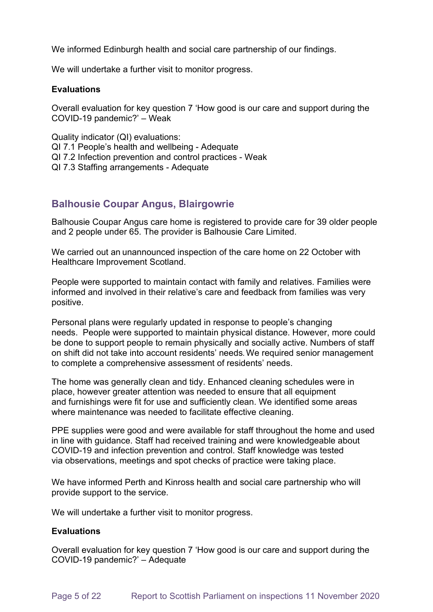We informed Edinburgh health and social care partnership of our findings.

We will undertake a further visit to monitor progress.

#### **Evaluations**

Overall evaluation for key question 7 'How good is our care and support during the COVID-19 pandemic?' – Weak

Quality indicator (QI) evaluations: QI 7.1 People's health and wellbeing - Adequate QI 7.2 Infection prevention and control practices - Weak QI 7.3 Staffing arrangements - Adequate

# **Balhousie Coupar Angus, Blairgowrie**

Balhousie Coupar Angus care home is registered to provide care for 39 older people and 2 people under 65. The provider is Balhousie Care Limited. 

We carried out an unannounced inspection of the care home on 22 October with Healthcare Improvement Scotland.

People were supported to maintain contact with family and relatives. Families were informed and involved in their relative's care and feedback from families was very positive.

Personal plans were regularly updated in response to people's changing needs. People were supported to maintain physical distance. However, more could be done to support people to remain physically and socially active. Numbers of staff on shift did not take into account residents' needs. We required senior management to complete a comprehensive assessment of residents' needs.

The home was generally clean and tidy. Enhanced cleaning schedules were in place, however greater attention was needed to ensure that all equipment and furnishings were fit for use and sufficiently clean. We identified some areas where maintenance was needed to facilitate effective cleaning.

PPE supplies were good and were available for staff throughout the home and used in line with guidance. Staff had received training and were knowledgeable about COVID-19 and infection prevention and control. Staff knowledge was tested via observations, meetings and spot checks of practice were taking place. 

We have informed Perth and Kinross health and social care partnership who will provide support to the service.

We will undertake a further visit to monitor progress.

#### **Evaluations**

Overall evaluation for key question 7 'How good is our care and support during the COVID-19 pandemic?' – Adequate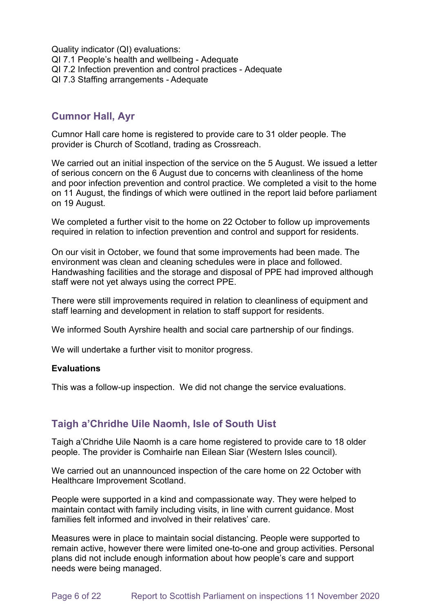Quality indicator (QI) evaluations: QI 7.1 People's health and wellbeing - Adequate QI 7.2 Infection prevention and control practices - Adequate QI 7.3 Staffing arrangements - Adequate

# **Cumnor Hall, Ayr**

Cumnor Hall care home is registered to provide care to 31 older people. The provider is Church of Scotland, trading as Crossreach.

We carried out an initial inspection of the service on the 5 August. We issued a letter of serious concern on the 6 August due to concerns with cleanliness of the home and poor infection prevention and control practice. We completed a visit to the home on 11 August, the findings of which were outlined in the report laid before parliament on 19 August.

We completed a further visit to the home on 22 October to follow up improvements required in relation to infection prevention and control and support for residents.

On our visit in October, we found that some improvements had been made. The environment was clean and cleaning schedules were in place and followed. Handwashing facilities and the storage and disposal of PPE had improved although staff were not yet always using the correct PPE.

There were still improvements required in relation to cleanliness of equipment and staff learning and development in relation to staff support for residents.

We informed South Ayrshire health and social care partnership of our findings.

We will undertake a further visit to monitor progress.

#### **Evaluations**

This was a follow-up inspection. We did not change the service evaluations.

# **Taigh a'Chridhe Uile Naomh, Isle of South Uist**

Taigh a'Chridhe Uile Naomh is a care home registered to provide care to 18 older people. The provider is Comhairle nan Eilean Siar (Western Isles council).

We carried out an unannounced inspection of the care home on 22 October with Healthcare Improvement Scotland.

People were supported in a kind and compassionate way. They were helped to maintain contact with family including visits, in line with current guidance. Most families felt informed and involved in their relatives' care.

Measures were in place to maintain social distancing. People were supported to remain active, however there were limited one-to-one and group activities. Personal plans did not include enough information about how people's care and support needs were being managed.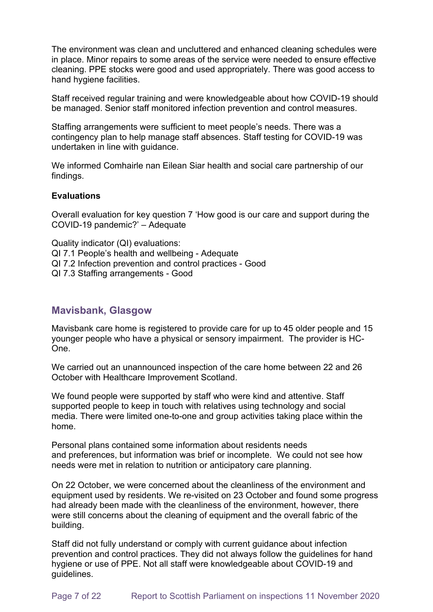The environment was clean and uncluttered and enhanced cleaning schedules were in place. Minor repairs to some areas of the service were needed to ensure effective cleaning. PPE stocks were good and used appropriately. There was good access to hand hygiene facilities.

Staff received regular training and were knowledgeable about how COVID-19 should be managed. Senior staff monitored infection prevention and control measures.

Staffing arrangements were sufficient to meet people's needs. There was a contingency plan to help manage staff absences. Staff testing for COVID-19 was undertaken in line with guidance.

We informed Comhairle nan Eilean Siar health and social care partnership of our findings.

#### **Evaluations**

Overall evaluation for key question 7 'How good is our care and support during the COVID-19 pandemic?' – Adequate

Quality indicator (QI) evaluations:

QI 7.1 People's health and wellbeing - Adequate

- QI 7.2 Infection prevention and control practices Good
- QI 7.3 Staffing arrangements Good

### **Mavisbank, Glasgow**

Mavisbank care home is registered to provide care for up to 45 older people and 15 younger people who have a physical or sensory impairment. The provider is HC-One.

We carried out an unannounced inspection of the care home between 22 and 26 October with Healthcare Improvement Scotland.

We found people were supported by staff who were kind and attentive. Staff supported people to keep in touch with relatives using technology and social media. There were limited one-to-one and group activities taking place within the home.

Personal plans contained some information about residents needs and preferences, but information was brief or incomplete. We could not see how needs were met in relation to nutrition or anticipatory care planning.

On 22 October, we were concerned about the cleanliness of the environment and equipment used by residents. We re-visited on 23 October and found some progress had already been made with the cleanliness of the environment, however, there were still concerns about the cleaning of equipment and the overall fabric of the building.

Staff did not fully understand or comply with current guidance about infection prevention and control practices. They did not always follow the guidelines for hand hygiene or use of PPE. Not all staff were knowledgeable about COVID-19 and guidelines.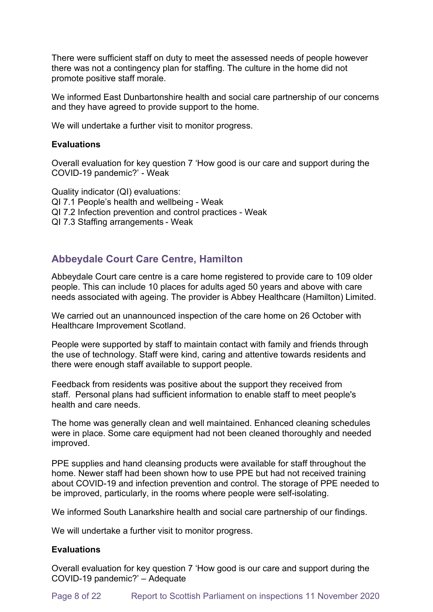There were sufficient staff on duty to meet the assessed needs of people however there was not a contingency plan for staffing. The culture in the home did not promote positive staff morale.

We informed East Dunbartonshire health and social care partnership of our concerns and they have agreed to provide support to the home.

We will undertake a further visit to monitor progress.

#### **Evaluations**

Overall evaluation for key question 7 'How good is our care and support during the COVID-19 pandemic?' - Weak

Quality indicator (QI) evaluations: QI 7.1 People's health and wellbeing - Weak QI 7.2 Infection prevention and control practices - Weak QI 7.3 Staffing arrangements - Weak

# **Abbeydale Court Care Centre, Hamilton**

Abbeydale Court care centre is a care home registered to provide care to 109 older people. This can include 10 places for adults aged 50 years and above with care needs associated with ageing. The provider is Abbey Healthcare (Hamilton) Limited.

We carried out an unannounced inspection of the care home on 26 October with Healthcare Improvement Scotland.

People were supported by staff to maintain contact with family and friends through the use of technology. Staff were kind, caring and attentive towards residents and there were enough staff available to support people.

Feedback from residents was positive about the support they received from staff. Personal plans had sufficient information to enable staff to meet people's health and care needs.

The home was generally clean and well maintained. Enhanced cleaning schedules were in place. Some care equipment had not been cleaned thoroughly and needed improved.

PPE supplies and hand cleansing products were available for staff throughout the home. Newer staff had been shown how to use PPE but had not received training about COVID-19 and infection prevention and control. The storage of PPE needed to be improved, particularly, in the rooms where people were self-isolating.

We informed South Lanarkshire health and social care partnership of our findings.

We will undertake a further visit to monitor progress.

#### **Evaluations**

Overall evaluation for key question 7 'How good is our care and support during the COVID-19 pandemic?' – Adequate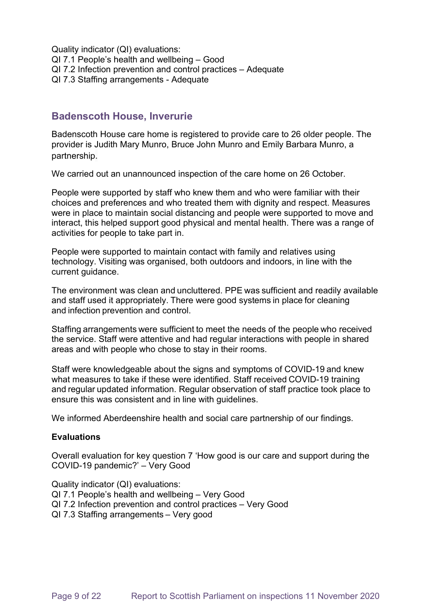Quality indicator (QI) evaluations: QI 7.1 People's health and wellbeing – Good QI 7.2 Infection prevention and control practices – Adequate QI 7.3 Staffing arrangements - Adequate

### **Badenscoth House, Inverurie**

Badenscoth House care home is registered to provide care to 26 older people. The provider is Judith Mary Munro, Bruce John Munro and Emily Barbara Munro, a partnership.

We carried out an unannounced inspection of the care home on 26 October.

People were supported by staff who knew them and who were familiar with their choices and preferences and who treated them with dignity and respect. Measures were in place to maintain social distancing and people were supported to move and interact, this helped support good physical and mental health. There was a range of activities for people to take part in.

People were supported to maintain contact with family and relatives using technology. Visiting was organised, both outdoors and indoors, in line with the current guidance.

The environment was clean and uncluttered. PPE was sufficient and readily available and staff used it appropriately. There were good systems in place for cleaning and infection prevention and control.

Staffing arrangements were sufficient to meet the needs of the people who received the service. Staff were attentive and had regular interactions with people in shared areas and with people who chose to stay in their rooms.

Staff were knowledgeable about the signs and symptoms of COVID-19 and knew what measures to take if these were identified. Staff received COVID-19 training and regular updated information. Regular observation of staff practice took place to ensure this was consistent and in line with guidelines.

We informed Aberdeenshire health and social care partnership of our findings.

#### **Evaluations**

Overall evaluation for key question 7 'How good is our care and support during the COVID-19 pandemic?' – Very Good

Quality indicator (QI) evaluations:

- QI 7.1 People's health and wellbeing Very Good
- QI 7.2 Infection prevention and control practices Very Good
- QI 7.3 Staffing arrangements – Very good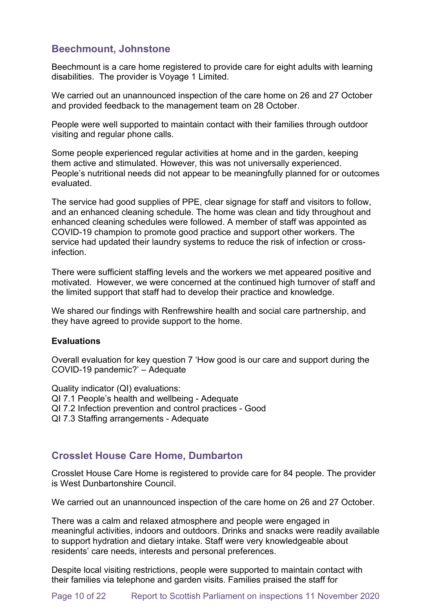# **Beechmount, Johnstone**

Beechmount is a care home registered to provide care for eight adults with learning disabilities. The provider is Voyage 1 Limited.

We carried out an unannounced inspection of the care home on 26 and 27 October and provided feedback to the management team on 28 October.

People were well supported to maintain contact with their families through outdoor visiting and regular phone calls.

Some people experienced regular activities at home and in the garden, keeping them active and stimulated. However, this was not universally experienced. People's nutritional needs did not appear to be meaningfully planned for or outcomes evaluated.

The service had good supplies of PPE, clear signage for staff and visitors to follow, and an enhanced cleaning schedule. The home was clean and tidy throughout and enhanced cleaning schedules were followed. A member of staff was appointed as COVID-19 champion to promote good practice and support other workers. The service had updated their laundry systems to reduce the risk of infection or crossinfection.

There were sufficient staffing levels and the workers we met appeared positive and motivated. However, we were concerned at the continued high turnover of staff and the limited support that staff had to develop their practice and knowledge.

We shared our findings with Renfrewshire health and social care partnership, and they have agreed to provide support to the home.

#### **Evaluations**

Overall evaluation for key question 7 'How good is our care and support during the COVID-19 pandemic?' – Adequate

Quality indicator (QI) evaluations: QI 7.1 People's health and wellbeing - Adequate QI 7.2 Infection prevention and control practices - Good QI 7.3 Staffing arrangements - Adequate

# **Crosslet House Care Home, Dumbarton**

Crosslet House Care Home is registered to provide care for 84 people. The provider is West Dunbartonshire Council.

We carried out an unannounced inspection of the care home on 26 and 27 October.

There was a calm and relaxed atmosphere and people were engaged in meaningful activities, indoors and outdoors. Drinks and snacks were readily available to support hydration and dietary intake. Staff were very knowledgeable about residents' care needs, interests and personal preferences.

Despite local visiting restrictions, people were supported to maintain contact with their families via telephone and garden visits. Families praised the staff for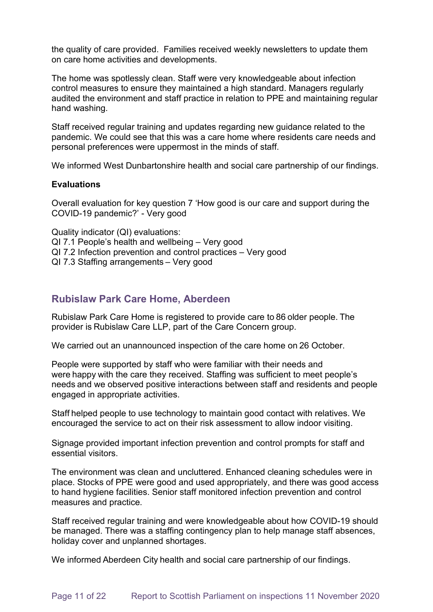the quality of care provided. Families received weekly newsletters to update them on care home activities and developments.

The home was spotlessly clean. Staff were very knowledgeable about infection control measures to ensure they maintained a high standard. Managers regularly audited the environment and staff practice in relation to PPE and maintaining regular hand washing.

Staff received regular training and updates regarding new guidance related to the pandemic. We could see that this was a care home where residents care needs and personal preferences were uppermost in the minds of staff.

We informed West Dunbartonshire health and social care partnership of our findings.

#### **Evaluations**

Overall evaluation for key question 7 'How good is our care and support during the COVID-19 pandemic?' - Very good

Quality indicator (QI) evaluations:

- QI 7.1 People's health and wellbeing Very good
- QI 7.2 Infection prevention and control practices Very good
- QI 7.3 Staffing arrangements – Very good

## **Rubislaw Park Care Home, Aberdeen**

Rubislaw Park Care Home is registered to provide care to 86 older people. The provider is Rubislaw Care LLP, part of the Care Concern group. 

We carried out an unannounced inspection of the care home on 26 October. 

People were supported by staff who were familiar with their needs and were happy with the care they received. Staffing was sufficient to meet people's needs and we observed positive interactions between staff and residents and people engaged in appropriate activities.

Staff helped people to use technology to maintain good contact with relatives. We encouraged the service to act on their risk assessment to allow indoor visiting.

Signage provided important infection prevention and control prompts for staff and essential visitors.

The environment was clean and uncluttered. Enhanced cleaning schedules were in place. Stocks of PPE were good and used appropriately, and there was good access to hand hygiene facilities. Senior staff monitored infection prevention and control measures and practice.

Staff received regular training and were knowledgeable about how COVID-19 should be managed. There was a staffing contingency plan to help manage staff absences, holiday cover and unplanned shortages.

We informed Aberdeen City health and social care partnership of our findings.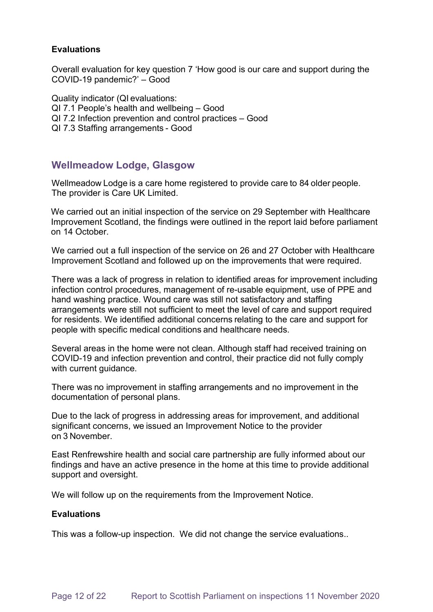#### **Evaluations**

Overall evaluation for key question 7 'How good is our care and support during the COVID-19 pandemic?' – Good 

Quality indicator (QI evaluations:  QI 7.1 People's health and wellbeing – Good  QI 7.2 Infection prevention and control practices – Good  QI 7.3 Staffing arrangements - Good 

## **Wellmeadow Lodge, Glasgow**

Wellmeadow Lodge is a care home registered to provide care to 84 older people. The provider is Care UK Limited.

We carried out an initial inspection of the service on 29 September with Healthcare Improvement Scotland, the findings were outlined in the report laid before parliament on 14 October.

We carried out a full inspection of the service on 26 and 27 October with Healthcare Improvement Scotland and followed up on the improvements that were required. 

There was a lack of progress in relation to identified areas for improvement including infection control procedures, management of re-usable equipment, use of PPE and hand washing practice. Wound care was still not satisfactory and staffing arrangements were still not sufficient to meet the level of care and support required for residents. We identified additional concerns relating to the care and support for people with specific medical conditions and healthcare needs.

Several areas in the home were not clean. Although staff had received training on COVID-19 and infection prevention and control, their practice did not fully comply with current guidance. 

There was no improvement in staffing arrangements and no improvement in the documentation of personal plans.

Due to the lack of progress in addressing areas for improvement, and additional significant concerns, we issued an Improvement Notice to the provider on 3 November.

East Renfrewshire health and social care partnership are fully informed about our findings and have an active presence in the home at this time to provide additional support and oversight.

We will follow up on the requirements from the Improvement Notice.

#### **Evaluations**

This was a follow-up inspection. We did not change the service evaluations..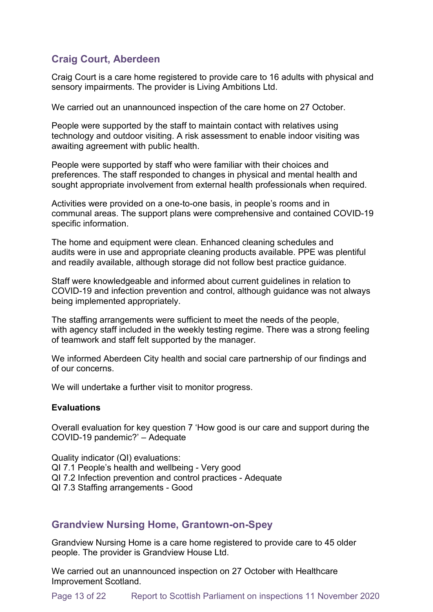# **Craig Court, Aberdeen**

Craig Court is a care home registered to provide care to 16 adults with physical and sensory impairments. The provider is Living Ambitions Ltd.

We carried out an unannounced inspection of the care home on 27 October.

People were supported by the staff to maintain contact with relatives using technology and outdoor visiting. A risk assessment to enable indoor visiting was awaiting agreement with public health.

People were supported by staff who were familiar with their choices and preferences. The staff responded to changes in physical and mental health and sought appropriate involvement from external health professionals when required.

Activities were provided on a one-to-one basis, in people's rooms and in communal areas. The support plans were comprehensive and contained COVID-19 specific information.

The home and equipment were clean. Enhanced cleaning schedules and audits were in use and appropriate cleaning products available. PPE was plentiful and readily available, although storage did not follow best practice guidance.

Staff were knowledgeable and informed about current guidelines in relation to COVID-19 and infection prevention and control, although guidance was not always being implemented appropriately.

The staffing arrangements were sufficient to meet the needs of the people, with agency staff included in the weekly testing regime. There was a strong feeling of teamwork and staff felt supported by the manager.

We informed Aberdeen City health and social care partnership of our findings and of our concerns.

We will undertake a further visit to monitor progress.

#### **Evaluations**

Overall evaluation for key question 7 'How good is our care and support during the COVID-19 pandemic?' – Adequate

Quality indicator (QI) evaluations: QI 7.1 People's health and wellbeing - Very good QI 7.2 Infection prevention and control practices - Adequate QI 7.3 Staffing arrangements - Good

## **Grandview Nursing Home, Grantown-on-Spey**

Grandview Nursing Home is a care home registered to provide care to 45 older people. The provider is Grandview House Ltd.

We carried out an unannounced inspection on 27 October with Healthcare Improvement Scotland.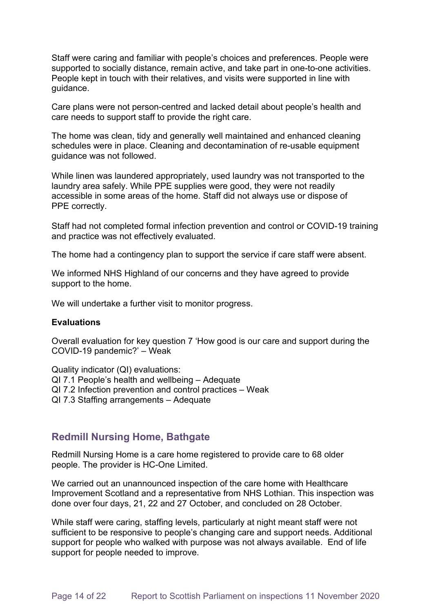Staff were caring and familiar with people's choices and preferences. People were supported to socially distance, remain active, and take part in one-to-one activities. People kept in touch with their relatives, and visits were supported in line with guidance.

Care plans were not person-centred and lacked detail about people's health and care needs to support staff to provide the right care.

The home was clean, tidy and generally well maintained and enhanced cleaning schedules were in place. Cleaning and decontamination of re-usable equipment guidance was not followed.

While linen was laundered appropriately, used laundry was not transported to the laundry area safely. While PPE supplies were good, they were not readily accessible in some areas of the home. Staff did not always use or dispose of PPE correctly.

Staff had not completed formal infection prevention and control or COVID-19 training and practice was not effectively evaluated.

The home had a contingency plan to support the service if care staff were absent.

We informed NHS Highland of our concerns and they have agreed to provide support to the home.

We will undertake a further visit to monitor progress.

#### **Evaluations**

Overall evaluation for key question 7 'How good is our care and support during the COVID-19 pandemic?' – Weak

Quality indicator (QI) evaluations:

- QI 7.1 People's health and wellbeing Adequate
- QI 7.2 Infection prevention and control practices Weak
- QI 7.3 Staffing arrangements Adequate

### **Redmill Nursing Home, Bathgate**

Redmill Nursing Home is a care home registered to provide care to 68 older people. The provider is HC-One Limited.

We carried out an unannounced inspection of the care home with Healthcare Improvement Scotland and a representative from NHS Lothian. This inspection was done over four days, 21, 22 and 27 October, and concluded on 28 October.

While staff were caring, staffing levels, particularly at night meant staff were not sufficient to be responsive to people's changing care and support needs. Additional support for people who walked with purpose was not always available. End of life support for people needed to improve.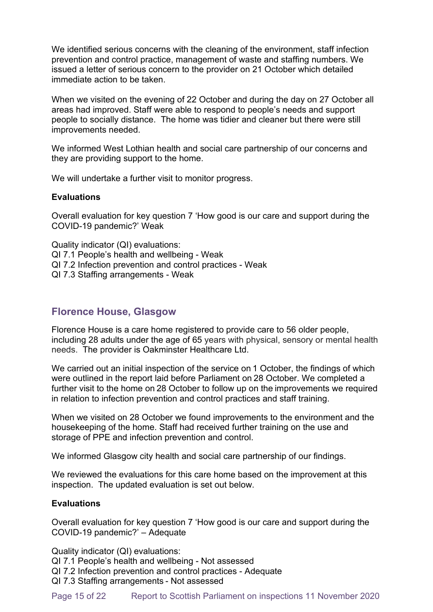We identified serious concerns with the cleaning of the environment, staff infection prevention and control practice, management of waste and staffing numbers. We issued a letter of serious concern to the provider on 21 October which detailed immediate action to be taken.

When we visited on the evening of 22 October and during the day on 27 October all areas had improved. Staff were able to respond to people's needs and support people to socially distance. The home was tidier and cleaner but there were still improvements needed.

We informed West Lothian health and social care partnership of our concerns and they are providing support to the home.

We will undertake a further visit to monitor progress.

#### **Evaluations**

Overall evaluation for key question 7 'How good is our care and support during the COVID-19 pandemic?' Weak

Quality indicator (QI) evaluations: QI 7.1 People's health and wellbeing - Weak QI 7.2 Infection prevention and control practices - Weak QI 7.3 Staffing arrangements - Weak

## **Florence House, Glasgow**

Florence House is a care home registered to provide care to 56 older people, including 28 adults under the age of 65 years with physical, sensory or mental health needs. The provider is Oakminster Healthcare Ltd.

We carried out an initial inspection of the service on 1 October, the findings of which were outlined in the report laid before Parliament on 28 October. We completed a further visit to the home on 28 October to follow up on the improvements we required in relation to infection prevention and control practices and staff training.

When we visited on 28 October we found improvements to the environment and the housekeeping of the home. Staff had received further training on the use and storage of PPE and infection prevention and control.

We informed Glasgow city health and social care partnership of our findings.

We reviewed the evaluations for this care home based on the improvement at this inspection. The updated evaluation is set out below.

#### **Evaluations**

Overall evaluation for key question 7 'How good is our care and support during the COVID-19 pandemic?' – Adequate

Quality indicator (QI) evaluations:

QI 7.1 People's health and wellbeing - Not assessed

QI 7.2 Infection prevention and control practices - Adequate

QI 7.3 Staffing arrangements - Not assessed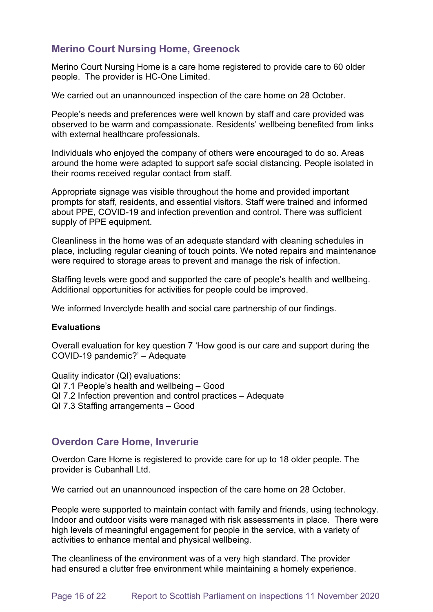# **Merino Court Nursing Home, Greenock**

Merino Court Nursing Home is a care home registered to provide care to 60 older people. The provider is HC-One Limited.

We carried out an unannounced inspection of the care home on 28 October.

People's needs and preferences were well known by staff and care provided was observed to be warm and compassionate. Residents' wellbeing benefited from links with external healthcare professionals.

Individuals who enjoyed the company of others were encouraged to do so. Areas around the home were adapted to support safe social distancing. People isolated in their rooms received regular contact from staff.

Appropriate signage was visible throughout the home and provided important prompts for staff, residents, and essential visitors. Staff were trained and informed about PPE, COVID-19 and infection prevention and control. There was sufficient supply of PPE equipment.

Cleanliness in the home was of an adequate standard with cleaning schedules in place, including regular cleaning of touch points. We noted repairs and maintenance were required to storage areas to prevent and manage the risk of infection.

Staffing levels were good and supported the care of people's health and wellbeing. Additional opportunities for activities for people could be improved.

We informed Inverclyde health and social care partnership of our findings.

#### **Evaluations**

Overall evaluation for key question 7 'How good is our care and support during the COVID-19 pandemic?' – Adequate

Quality indicator (QI) evaluations: QI 7.1 People's health and wellbeing – Good QI 7.2 Infection prevention and control practices – Adequate QI 7.3 Staffing arrangements – Good

## **Overdon Care Home, Inverurie**

Overdon Care Home is registered to provide care for up to 18 older people. The provider is Cubanhall Ltd.  

We carried out an unannounced inspection of the care home on 28 October.

People were supported to maintain contact with family and friends, using technology. Indoor and outdoor visits were managed with risk assessments in place. There were high levels of meaningful engagement for people in the service, with a variety of activities to enhance mental and physical wellbeing.

The cleanliness of the environment was of a very high standard. The provider had ensured a clutter free environment while maintaining a homely experience.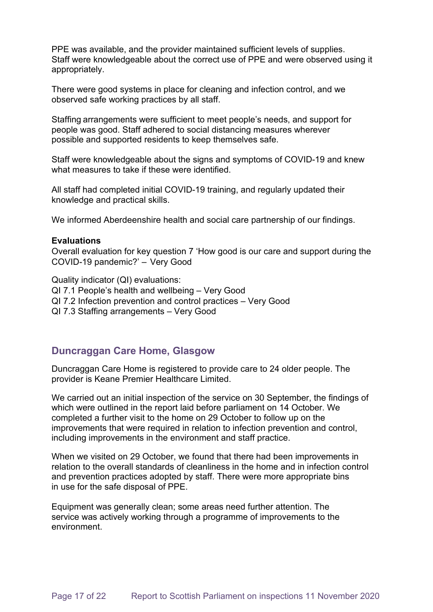PPE was available, and the provider maintained sufficient levels of supplies. Staff were knowledgeable about the correct use of PPE and were observed using it appropriately.

There were good systems in place for cleaning and infection control, and we observed safe working practices by all staff.

Staffing arrangements were sufficient to meet people's needs, and support for people was good. Staff adhered to social distancing measures wherever possible and supported residents to keep themselves safe.

Staff were knowledgeable about the signs and symptoms of COVID-19 and knew what measures to take if these were identified.

All staff had completed initial COVID-19 training, and regularly updated their knowledge and practical skills.

We informed Aberdeenshire health and social care partnership of our findings.

#### **Evaluations**

Overall evaluation for key question 7 'How good is our care and support during the COVID-19 pandemic?' –  Very Good

Quality indicator (QI) evaluations:  QI 7.1 People's health and wellbeing – Very Good QI 7.2 Infection prevention and control practices – Very Good QI 7.3 Staffing arrangements – Very Good

### **Duncraggan Care Home, Glasgow**

Duncraggan Care Home is registered to provide care to 24 older people. The provider is Keane Premier Healthcare Limited.

We carried out an initial inspection of the service on 30 September, the findings of which were outlined in the report laid before parliament on 14 October. We completed a further visit to the home on 29 October to follow up on the improvements that were required in relation to infection prevention and control, including improvements in the environment and staff practice.

When we visited on 29 October, we found that there had been improvements in relation to the overall standards of cleanliness in the home and in infection control and prevention practices adopted by staff. There were more appropriate bins in use for the safe disposal of PPE.

Equipment was generally clean; some areas need further attention. The service was actively working through a programme of improvements to the environment.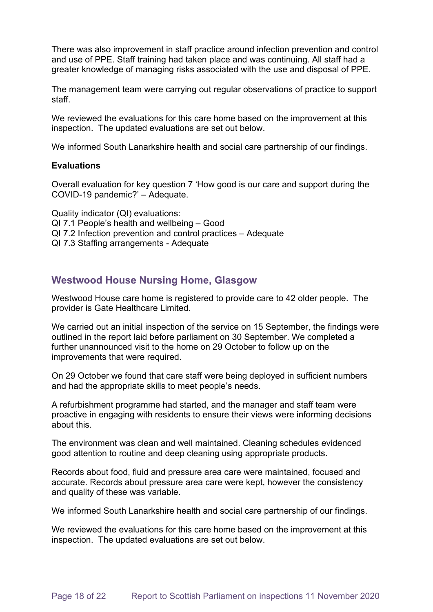There was also improvement in staff practice around infection prevention and control and use of PPE. Staff training had taken place and was continuing. All staff had a greater knowledge of managing risks associated with the use and disposal of PPE.

The management team were carrying out regular observations of practice to support staff.

We reviewed the evaluations for this care home based on the improvement at this inspection. The updated evaluations are set out below.

We informed South Lanarkshire health and social care partnership of our findings.

#### **Evaluations**

Overall evaluation for key question 7 'How good is our care and support during the COVID-19 pandemic?' – Adequate.

Quality indicator (QI) evaluations: QI 7.1 People's health and wellbeing – Good QI 7.2 Infection prevention and control practices – Adequate QI 7.3 Staffing arrangements - Adequate 

# **Westwood House Nursing Home, Glasgow**

Westwood House care home is registered to provide care to 42 older people. The provider is Gate Healthcare Limited.

We carried out an initial inspection of the service on 15 September, the findings were outlined in the report laid before parliament on 30 September. We completed a further unannounced visit to the home on 29 October to follow up on the improvements that were required.

On 29 October we found that care staff were being deployed in sufficient numbers and had the appropriate skills to meet people's needs.

A refurbishment programme had started, and the manager and staff team were proactive in engaging with residents to ensure their views were informing decisions about this.

The environment was clean and well maintained. Cleaning schedules evidenced good attention to routine and deep cleaning using appropriate products.

Records about food, fluid and pressure area care were maintained, focused and accurate. Records about pressure area care were kept, however the consistency and quality of these was variable.

We informed South Lanarkshire health and social care partnership of our findings.

We reviewed the evaluations for this care home based on the improvement at this inspection. The updated evaluations are set out below.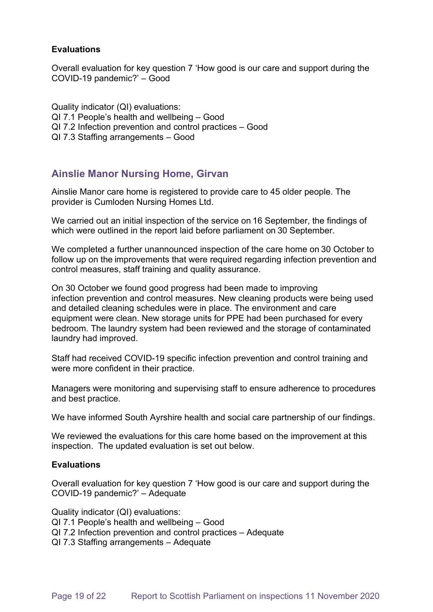#### **Evaluations**

Overall evaluation for key question 7 'How good is our care and support during the COVID-19 pandemic?' – Good

Quality indicator (QI) evaluations: QI 7.1 People's health and wellbeing – Good QI 7.2 Infection prevention and control practices – Good QI 7.3 Staffing arrangements – Good

# **Ainslie Manor Nursing Home, Girvan**

Ainslie Manor care home is registered to provide care to 45 older people. The provider is Cumloden Nursing Homes Ltd.

We carried out an initial inspection of the service on 16 September, the findings of which were outlined in the report laid before parliament on 30 September.

We completed a further unannounced inspection of the care home on 30 October to follow up on the improvements that were required regarding infection prevention and control measures, staff training and quality assurance.

On 30 October we found good progress had been made to improving infection prevention and control measures. New cleaning products were being used and detailed cleaning schedules were in place. The environment and care equipment were clean. New storage units for PPE had been purchased for every bedroom. The laundry system had been reviewed and the storage of contaminated laundry had improved.

Staff had received COVID-19 specific infection prevention and control training and were more confident in their practice.

Managers were monitoring and supervising staff to ensure adherence to procedures and best practice.

We have informed South Ayrshire health and social care partnership of our findings.

We reviewed the evaluations for this care home based on the improvement at this inspection. The updated evaluation is set out below.

#### **Evaluations**

Overall evaluation for key question 7 'How good is our care and support during the COVID-19 pandemic?' – Adequate

Quality indicator (QI) evaluations:

- QI 7.1 People's health and wellbeing Good
- QI 7.2 Infection prevention and control practices Adequate
- QI 7.3 Staffing arrangements Adequate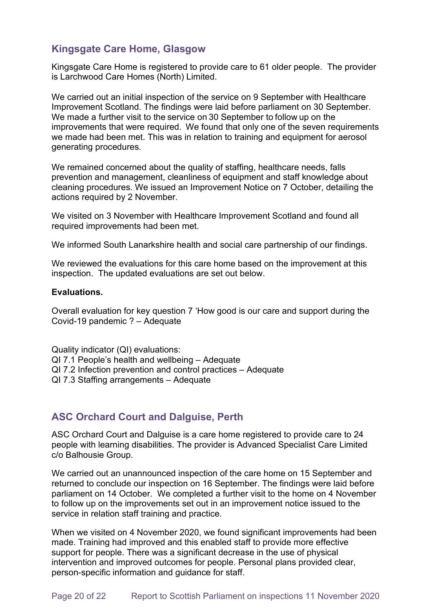# **Kingsgate Care Home, Glasgow**

Kingsgate Care Home is registered to provide care to 61 older people. The provider is Larchwood Care Homes (North) Limited.

We carried out an initial inspection of the service on 9 September with Healthcare Improvement Scotland. The findings were laid before parliament on 30 September. We made a further visit to the service on 30 September to follow up on the improvements that were required.  We found that only one of the seven requirements we made had been met. This was in relation to training and equipment for aerosol generating procedures.

We remained concerned about the quality of staffing, healthcare needs, falls prevention and management, cleanliness of equipment and staff knowledge about cleaning procedures. We issued an Improvement Notice on 7 October, detailing the actions required by 2 November.

We visited on 3 November with Healthcare Improvement Scotland and found all required improvements had been met.

We informed South Lanarkshire health and social care partnership of our findings.

We reviewed the evaluations for this care home based on the improvement at this inspection. The updated evaluations are set out below.

#### **Evaluations.**

Overall evaluation for key question 7 'How good is our care and support during the Covid-19 pandemic ? – Adequate

Quality indicator (QI) evaluations:

- QI 7.1 People's health and wellbeing Adequate
- QI 7.2 Infection prevention and control practices Adequate
- QI 7.3 Staffing arrangements Adequate

# **ASC Orchard Court and Dalguise, Perth**

ASC Orchard Court and Dalguise is a care home registered to provide care to 24 people with learning disabilities. The provider is Advanced Specialist Care Limited c/o Balhousie Group.

We carried out an unannounced inspection of the care home on 15 September and returned to conclude our inspection on 16 September. The findings were laid before parliament on 14 October. We completed a further visit to the home on 4 November to follow up on the improvements set out in an improvement notice issued to the service in relation staff training and practice.

When we visited on 4 November 2020, we found significant improvements had been made. Training had improved and this enabled staff to provide more effective support for people. There was a significant decrease in the use of physical intervention and improved outcomes for people. Personal plans provided clear, person-specific information and guidance for staff.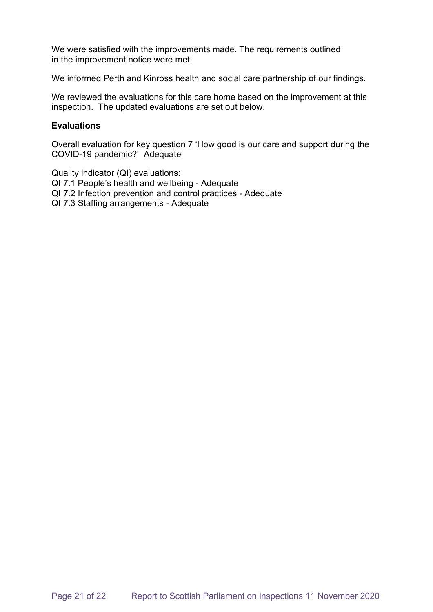We were satisfied with the improvements made. The requirements outlined in the improvement notice were met.

We informed Perth and Kinross health and social care partnership of our findings.

We reviewed the evaluations for this care home based on the improvement at this inspection. The updated evaluations are set out below.

#### **Evaluations**

Overall evaluation for key question 7 'How good is our care and support during the COVID-19 pandemic?' Adequate

Quality indicator (QI) evaluations:

QI 7.1 People's health and wellbeing - Adequate

- QI 7.2 Infection prevention and control practices Adequate
- QI 7.3 Staffing arrangements Adequate